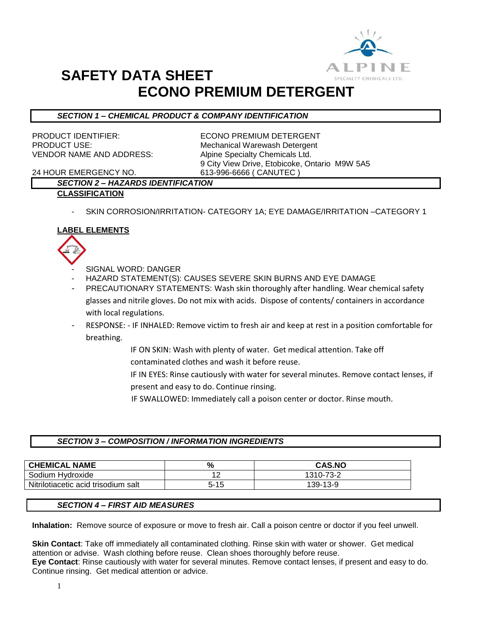

## **SAFETY DATA SHEET ECONO PREMIUM DETERGENT**

## *SECTION 1 – CHEMICAL PRODUCT & COMPANY IDENTIFICATION*

VENDOR NAME AND ADDRESS: Alpine Specialty Chemicals Ltd.

PRODUCT IDENTIFIER: ECONO PREMIUM DETERGENT PRODUCT USE: Mechanical Warewash Detergent 9 City View Drive, Etobicoke, Ontario M9W 5A5

24 HOUR EMERGENCY NO. 613-996-6666 ( CANUTEC )

## *SECTION 2 – HAZARDS IDENTIFICATION* **CLASSIFICATION**

SKIN CORROSION/IRRITATION- CATEGORY 1A; EYE DAMAGE/IRRITATION -CATEGORY 1

## **LABEL ELEMENTS**



- SIGNAL WORD: DANGER
- HAZARD STATEMENT(S): CAUSES SEVERE SKIN BURNS AND EYE DAMAGE
- PRECAUTIONARY STATEMENTS: Wash skin thoroughly after handling. Wear chemical safety glasses and nitrile gloves. Do not mix with acids. Dispose of contents/ containers in accordance with local regulations.
- RESPONSE: IF INHALED: Remove victim to fresh air and keep at rest in a position comfortable for breathing.
	- IF ON SKIN: Wash with plenty of water. Get medical attention. Take off contaminated clothes and wash it before reuse.
	- IF IN EYES: Rinse cautiously with water for several minutes. Remove contact lenses, if present and easy to do. Continue rinsing.
	- IF SWALLOWED: Immediately call a poison center or doctor. Rinse mouth.

### *SECTION 3 – COMPOSITION / INFORMATION INGREDIENTS*

| <b>CHEMICAL NAME</b>                | %             | <b>CAS.NO</b> |
|-------------------------------------|---------------|---------------|
| Sodium Hydroxide                    | $\sim$<br>. . | 1310-73-2     |
| Nitrilotiacetic acid trisodium salt | $5 - 15$      | 139-13-9      |

### *SECTION 4 – FIRST AID MEASURES*

**Inhalation:** Remove source of exposure or move to fresh air. Call a poison centre or doctor if you feel unwell.

**Skin Contact**: Take off immediately all contaminated clothing. Rinse skin with water or shower. Get medical attention or advise. Wash clothing before reuse. Clean shoes thoroughly before reuse. **Eye Contact**: Rinse cautiously with water for several minutes. Remove contact lenses, if present and easy to do. Continue rinsing. Get medical attention or advice.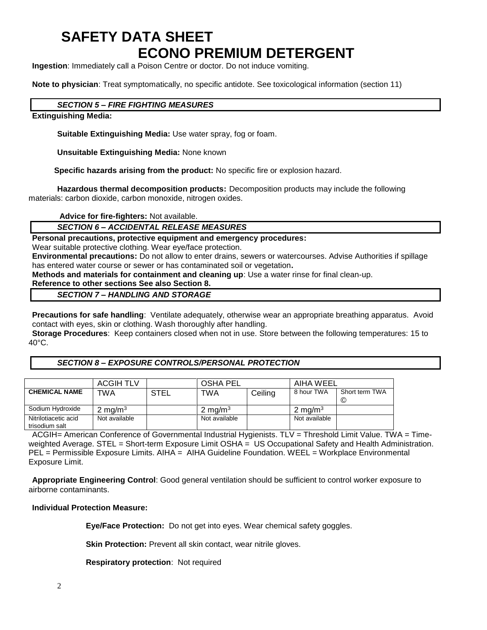# **SAFETY DATA SHEET ECONO PREMIUM DETERGENT**

**Ingestion**: Immediately call a Poison Centre or doctor. Do not induce vomiting.

**Note to physician**: Treat symptomatically, no specific antidote. See toxicological information (section 11)

## *SECTION 5 – FIRE FIGHTING MEASURES*

**Extinguishing Media:**

**Suitable Extinguishing Media:** Use water spray, fog or foam.

**Unsuitable Extinguishing Media:** None known

 **Specific hazards arising from the product:** No specific fire or explosion hazard.

**Hazardous thermal decomposition products:** Decomposition products may include the following materials: carbon dioxide, carbon monoxide, nitrogen oxides.

**Advice for fire-fighters:** Not available.

### *SECTION 6 – ACCIDENTAL RELEASE MEASURES*

**Personal precautions, protective equipment and emergency procedures:**

Wear suitable protective clothing. Wear eye/face protection.

**Environmental precautions:** Do not allow to enter drains, sewers or watercourses. Advise Authorities if spillage has entered water course or sewer or has contaminated soil or vegetation**.** 

**Methods and materials for containment and cleaning up**: Use a water rinse for final clean-up.

## **Reference to other sections See also Section 8.**

### *SECTION 7 – HANDLING AND STORAGE*

**Precautions for safe handling**: Ventilate adequately, otherwise wear an appropriate breathing apparatus. Avoid contact with eyes, skin or clothing. Wash thoroughly after handling.

**Storage Procedures**: Keep containers closed when not in use. Store between the following temperatures: 15 to 40°C.

### *SECTION 8 – EXPOSURE CONTROLS/PERSONAL PROTECTION*

|                                        | <b>ACGIH TLV</b> |             | <b>OSHA PEL</b>    |         | AIHA WEEL          |                     |
|----------------------------------------|------------------|-------------|--------------------|---------|--------------------|---------------------|
| <b>CHEMICAL NAME</b>                   | TWA              | <b>STEL</b> | TWA                | Ceiling | 8 hour TWA         | Short term TWA<br>C |
|                                        |                  |             |                    |         |                    |                     |
| Sodium Hydroxide                       | 2 mg/m $3$       |             | $2 \text{ mg/m}^3$ |         | $2 \text{ ma/m}^3$ |                     |
| Nitrilotiacetic acid<br>trisodium salt | Not available    |             | Not available      |         | Not available      |                     |

ACGIH= American Conference of Governmental Industrial Hygienists. TLV = Threshold Limit Value. TWA = Timeweighted Average. STEL = Short-term Exposure Limit OSHA = US Occupational Safety and Health Administration. PEL = Permissible Exposure Limits. AIHA = AIHA Guideline Foundation. WEEL = Workplace Environmental Exposure Limit.

**Appropriate Engineering Control**: Good general ventilation should be sufficient to control worker exposure to airborne contaminants.

## **Individual Protection Measure:**

**Eye/Face Protection:** Do not get into eyes. Wear chemical safety goggles.

**Skin Protection:** Prevent all skin contact, wear nitrile gloves.

**Respiratory protection**: Not required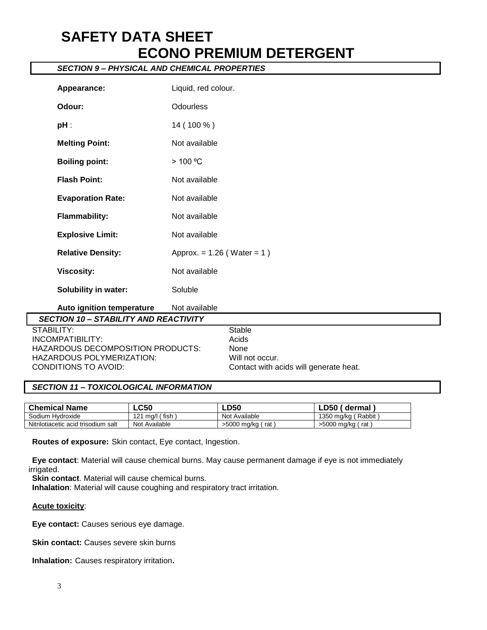# **SAFETY DATA SHEET ECONO PREMIUM DETERGENT**

## *SECTION 9 – PHYSICAL AND CHEMICAL PROPERTIES*

| Appearance:                                  | Liquid, red colour.             |                                        |
|----------------------------------------------|---------------------------------|----------------------------------------|
| Odour:                                       | <b>Odourless</b>                |                                        |
| $pH$ :                                       | 14 (100 %)                      |                                        |
| <b>Melting Point:</b>                        | Not available                   |                                        |
| <b>Boiling point:</b>                        | > 100 °C                        |                                        |
| <b>Flash Point:</b>                          | Not available                   |                                        |
| <b>Evaporation Rate:</b>                     | Not available                   |                                        |
| <b>Flammability:</b>                         | Not available                   |                                        |
| <b>Explosive Limit:</b>                      | Not available                   |                                        |
| <b>Relative Density:</b>                     | Approx. = $1.26$ (Water = $1$ ) |                                        |
| <b>Viscosity:</b>                            | Not available                   |                                        |
| <b>Solubility in water:</b>                  | Soluble                         |                                        |
| Auto ignition temperature                    | Not available                   |                                        |
| <b>SECTION 10 - STABILITY AND REACTIVITY</b> |                                 |                                        |
| STABILITY:                                   |                                 | <b>Stable</b>                          |
| <b>INCOMPATIBILITY:</b>                      |                                 | Acids                                  |
| HAZARDOUS DECOMPOSITION PRODUCTS:            |                                 | None                                   |
| HAZARDOUS POLYMERIZATION:                    |                                 | Will not occur.                        |
| CONDITIONS TO AVOID:                         |                                 | Contact with acids will generate heat. |

### *SECTION 11 – TOXICOLOGICAL INFORMATION*

| <b>Chemical Name</b>                | <b>LC50</b>        | <b>LD50</b>        | _D50 /<br>dermal       |
|-------------------------------------|--------------------|--------------------|------------------------|
| Sodium Hydroxide                    | mq/l (fish,<br>101 | Not Available      | (Rabbit)<br>1350 ma/ka |
| Nitrilotiacetic acid trisodium salt | Not Available      | >5000 mg/kg<br>rat | >5000 mg/kg /<br>rat ` |

**Routes of exposure:** Skin contact, Eye contact, Ingestion.

**Eye contact**: Material will cause chemical burns. May cause permanent damage if eye is not immediately irrigated.

**Skin contact**. Material will cause chemical burns.

**Inhalation**: Material will cause coughing and respiratory tract irritation.

#### **Acute toxicity**:

**Eye contact:** Causes serious eye damage.

**Skin contact:** Causes severe skin burns

**Inhalation:** Causes respiratory irritation**.**